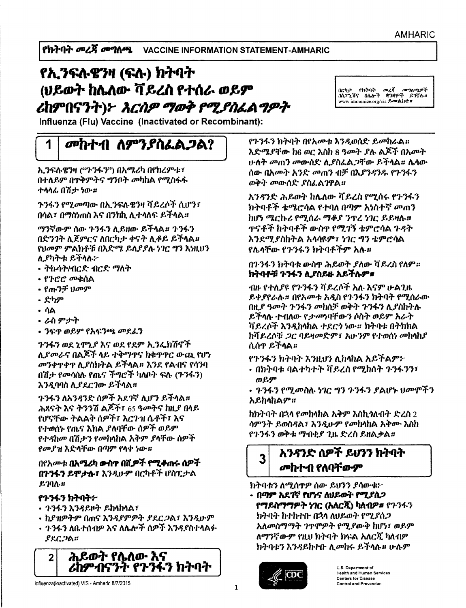የክትባት መረጃ መ**ግ**ለጫ **VACCINE INFORMATION STATEMENT-AMHARIC** 

# የኢንፍሉዌንዛ (ፍሉ) ክትባት (ህይወት ከሌለው ቫይረስ የተሰራ ወይም ሪከምበናንት)፦ *እርስዎ ማወቅ የሚያስፌልግዎት*

Influenza (Flu) Vaccine (Inactivated or Recombinant):

# መከተብ ስምንያስፈልጋል?

ኢንፍሉዌንዛ ("ጉንፋን") በአሜሪካ በየከረምቱ፣ በተለይም በዋቅምትና ግንቦት መካከል የሚስፋፋ ተላሳፌ በሽታ ነው።

*ጉንፋን የሚመጣ*ው በኢንፍሉዌንዛ ቫይረሶች ሲሆን፣ በሳል፣ በማስነጠስ እና በንክኪ ሊተሳለፍ ይችሳል።

ማንኛውም ሰው ጉንፋን ሲይዘው ይችላል። ጉንፋን በድንገት ሊጀምርና ለበርካታ ቀናት ሊቆይ ይችላል። የህመም ምልክቶቹ በእድሜ ይለያያሉ ነገር ግን እነዚህን ሊያካትቱ ይችላሉ፦

- ትኩሳት/ብርድ ብርድ ማለት
- የጉሮሮ መቁሰል
- የጡንቻ ሀ*መ*ም
- ድካም

1

- ሳል
- ራስ ምታት
- ንፍዋ ወይም የአፍንጫ መደፈን

ጉንፋን ወደ ኒሞኒያ እና ወደ የደም ኢንፌክሽኖች ሊያመራና በልጆች ላይ ተቅማዋና ከቁዋዋር ውጪ የሆነ መንቀዋቀዋ ሊያስክትል ይችላል። እንደ የልብና የሳንባ በሽታ የመሳሰሉ የጨና ችግሮች ካለቦት ፍሉ (ጉንፋን) እንዲባባስ ሊያደርገው ይችላል።

ጉንፋን ለአንዳንድ ሰዎች አደገኛ ሲሆን ይችላል። ሕጻናት እና ትንንሽ ልጆች፣ 65 ዓመትና ከዚያ በላይ የሆናቸው ትልልቅ ሰዎች፣ እርጉዝ ሴቶች፣ እና የተወሰኑ የጤና እክል ደለባቸው ሰዎች ወይም የተዳከመ በሽታን የመከላከል አቅም ያላቸው ሰዎች የመያዝ እድሳቸው በጣም የላቀ ነው።

በየአመቱ **በአሜሪካ ውስጥ በሺዎች የሚቆጠሩ ሰዎች** በጉንፋን ይሞታሉ፣ እንዲሁም በርካቶች ሆስፒታል  $670$  $\Lambda$ 

## የንንፋን ክትባት፦

- ጉንፋን እንዳይዞት ይከላከላል፣
- ከያዝዎትም በሐና እንዳያምዎት ያደርጋል፣ እንዲሁም
- ጉንፋን ለቤተሰብዎ እና ለሌሎች ሰዎች እንዳያስተላልፉ

 $RCA$ 



Influenza(inactivated) VIS - Amharic 8/7/2015

በርካታ የከትባት መረጃ መግለጫዎች<br>በሲፖኒሻና በሌሎች ቋንቋዎች ይገኛሉ። www.immunize.org/vis LonAh+#

የጉንፋን ከትባት በየአመቱ እንዲወሰድ ይመከራል፡፡ እድሜ*ያ*ቸው ከ6 ወር እስከ 8 ዓመት *ያሉ* ልጆች በአመት <u>ሁለት መጠን መውሰድ ሲያስፌል</u> ጋቸው ይችላል፡፡ ሴሳው ሰው በአመት አንድ መጠን ብቻ በእ*ያንዳንዱ* የጉንፋን ወቅት መውሰድ ያስፈልገዋል።

አንዳንድ ሕይወት ከሌለው ቫይረስ የሚሰሩ የጉንፋን ክትባቶች ቴሜሮሳል የተባለ በጣም አነስተኛ መጠን ከሆነ ሜርኩሪ የሚሰራ ማቆያ ንዋረ ነገር ይይዛሉ። **ዋናቶች ከትባቶች ውስዋ የሚገኝ ቴምሮሳል ጉዳት** እንደሚያስከትል አሳሳዩም፣ ነገር ግን ቴምሮሳል የሌላቸው የጉንፋን ክትባቶችም አሉ።

### በጉንፋን ክትባቱ ውስዋ ሕይወት ያለው ቫይረስ የለም# ከትባቶቹ ጉንፋን ሊያስይዙ አይችሉም*፡*፡

ብዙ የተለያዩ የጉንፋን ቫይረሶች አሉ እናም ሁልጊዜ ይቀያየራሉ። በየአመቱ አዲስ የጉንፋን ክትባት የሚሰራው በዚያ ዓመት ጉንፋን መከሰቻ ወቅት ጉንፋን ሊያስከትሉ ይችላሉ ተብለው የ*ታመነ*ባቸውን ሶስት ወይም አራት ሻይረሶች እንዲከሳከል ተደርጎ ነው። ከትባቱ በትክክል ከቫይረሶቹ ጋር ባይዛመድም፣ አሁንም የተወሰነ መከሳከያ ሲሰጥ ይችላል።

የንንፋን ክትባት እንዚህን ሊከላከል አይችልም፦

- በክትባቱ ባልተካተት ቫይረስ የሚከሰት ጉንፋንን፣ ወይም
- ጉንፋን የሚመስሉ ነገር ግን ጉንፋን *ያ*ልሆኑ ሀመሞችን አይከላከልም።

<u>ከክትባት በኋላ የመከላከል አቅም እስኪንለብት ድረስ 2</u> ሳምንት ይወስዳል፣ እንዲሁም የመከሳከል አቅሙ እስከ የጉንፋን ወቅቱ ማብቂያ ጊዜ ድረስ ይዘልቃል።

## አንዳንድ ሰዎች ይሆንን ክትባት መከተብ የለባቸውም

ክትባቲን ለማሰዋዎ ሰው ይህንን ያሳውቂ፦

· በማም አደ*ገ*ኛ የሆ*ኑ*ና ለህይወት የሚያሲጋ የማይስማማዎት ነገር (አለርጂ) ካለብዎ# የጉንፋን ክትባት ከተኩተቡ በኋሳ ለህይወት የሚያሰጋ አለመስማማት ገጥሞዎት የሚያውቅ ከሆነ፣ ወይም ለማንኛውም የዚህ ክትባት ክፍል አለርጇ ካለብዎ ክትባቱን እንዳይኩተቡ ሊመከሩ ይችላሉ። ሁሉም



3

**Health and Human Services Centers for Disease Control and Prevention**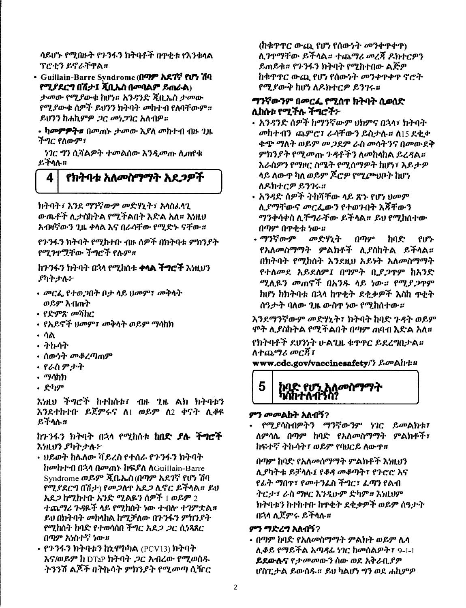ሳይሆኑ የሚበዙት የጉንፋን ክትባቶች በጥቀቱ የእንቂላል ፕሮተን ይኖራቸዋል።

· Guillain-Barre Syndrome (**APP XRTS FUT TA** የሚያደርግ በሽታ፤ ጂቢኤስ በመባልም ይጠራል)

ታመው የሚያውቁ ከሆነ። አንዳንድ ጇቢኤስ ታመው *የሚያ*ውቁ ሰዎች ይህንን ክትባት መከተብ የለባቸውም*፡*፡ ይህንን ከሐኪምዎ *ጋር መነጋገር አ*ስብዎ።

• ካ**መምዎት፡፡** በመጠኑ ታመው እያለ መከተብ ብዙ ጊዜ ችግር የለውም፣

*ነገር ግን* ሲሻልዎት ተመልሰው እ*ንዲመ*ጡ ሲጠየቁ ይችላሉ።

#### 4 የክትባቱ አለመስማማት አደ*ጋዎች*

ክትባት፣ እንደ ማንኛውም መድሃኒት፣ አሳስፌሳጊ ውጤቶች ሊታስከትል የሚችልበት እድል አለ። እነዚህ አብዛኛውን ጊዜ ቀሳል እና በራሳቸው የሚድኑ ናቸው።

የንንፋን ክትባት የሚከተቡ ብዙ ሰዎች በክትባቱ ምክንያት የሚገጥሟቸው ችግሮች የሉም።

ከጉንፋን ክትባት በኋላ የሚከሰቱ **ቀላል ችግሮች** እነዚህን ያካትታሉ፦

- መርፌ የተወጋበት ቦታ ላይ ህመም፣ መቅሳት ወይም እብጠት
- የድምጽ መሻከር
- የአይኖች ህመም*፣ መቅ*ሳት ወይም ማሳከክ
- ሳል
- ትኩሳት
- ሰው*ነት መቆረጣ*ጠም
- የራስ ምታት
- *ማሳ*ከክ
- ድካም

እነዚህ ችግሮች ከተከሰቱ፣ ብዙ ጊዜ ልክ ክትባቱን እንደተከተቡ ይጀምሩና ለ1 ወይም ለ2 ቀናት ሊቆዩ ይችላሉ።

ከጉንፋን ክትባት በኋላ የሚከሰቱ **ከበድ** *ያሉ ችግሮች* እነዚህን ያካትታሉ፦

- ሀይወት ከሌለው ሻይረስ የተሰራ የጉንፋን ክትባት hመከተብ በኋላ በመጠኑ ከፍያለ AGuillain-Barre Syndrome ወይም ጂቤኤስ (በጣም አደገኛ የሆነ ሽባ የሚያደርግ በሽታ) የመጋለዋ አደጋ ሊኖር ይችላል። ይህ አደ*ጋ* ከሚከተቡ አንድ ሚልዬን ሰዎች 1 ወይም 2 ተጨማሪ ንዳዬች ላይ የሚከሰት ነው ተብሎ ተገምቷል። ይህ በክትባት መከላከል ከሚቻለው በጉንፋን ምክንያት የሚከሰት ከባድ የተወሳሰበ ችግር አደ*ጋ ጋ*ር ሲነጻጸር በጣም አነስተኛ ነው።
- የንንፋን ክትባቱን ከኒሞኮካል (PCV13) ክትባት እና/ወይም ከ DTaP ክትባት *ጋ*ር አብረው የሚወስዱ *ትንን*ሽ ልጆች በትኩሳት ምክን*ያት የሚመጣ* ሲሻርር

(ከቁዋዋር ውጪ የሆነ የሰውነት መንቀዋቀዋ) ሊገዋማቸው ይችላል። ተጨማሪ መረጃ ዶክተርዎን ይጠይቁ። የንንፋን ክትባት የሚከተበው ልጅዎ ከቁዋዋር ውጪ የሆነ የሰውነት መንቀዋቀዋ ኖሮት የሚያውቅ ከሆነ ለዶክተርዎ ይንገሩ።

## ማንኛውንም በመርፌ የሚሰዋ ክትባት ሲወሰድ ሊከሰቱ የሚችሉ ችግሮች፦

- አንዳንድ ሰዎች ከማንኛውም ህክምና በኋላ፣ ክትባት መከተብን ጨምሮ፤ ራሳቸውን ይስታሉ። ለ15 ደቂቃ ቁጭ ማለት ወይም መጋደም ራስ መሳትንና በመውደቅ ምክንያት የሚመጡ ጉዳቶችን ለመከላከል ይረዳል። እራስዎን የማዞር ስሜት የሚሰማዎት ከሆነ፣ እይታዎ <u>ላይ ለውጥ ካለ ወይም ጆሮዎ የሚጮህበት ከሆነ</u> ለዶክተርዎ ይንገሩ።
- <u>• አንዳድ ሰዎች ትከሻቸው ላይ ጽኑ የሆነ ህመም</u> ሊያማቸውና መርፌውን የተወጉበት እጃቸውን ማንቀሳቀስ ሊቸግራቸው ይችላል። ይህ የሚከሰተው በጣም በጥቂቱ ነው።
- መድሃኒት • ማንኛውም በጣም **hog** የሆኑ የአለመስማማት ምልክቶች ሊያስከትል ይችላል። በክትባት የሚከሰት እንደዚህ አይነት አለመስማማት የተለመደ አይደለም፤ በግምት ቢያጋዋም ከአንድ ሚሊዬን መጠኖች በአንዱ ላይ ነው። የሚያ*ጋ*ጥም ከሆነ ከክትባቱ በኋላ ከጥቂት ደቂቃዎች እስከ ጥቂት ሰዓታት ባለው ጊዜ ውስዋ ነው የሚከሰተው።

እንደማንኛውም መድሃኒት፣ ክትባት ከባድ ጉዳት ወይም ሞት ሊያስከትል የሚችልበት በጣም ጠባብ እድል አለ።

የክትባቶች ደህንነት ሁልጊዜ ቁጥፐር ይደረግበታል። ለተጨማሪ መርÃ፣

www.cdc.gov/vaccinesafety/' & maht:

#### 5 ከቧድ የሆ<u>ን አ</u>ለመስማማት ካስከተለብኀስ?

## ምን መመልከት አለብኝ?

የሚያሳስብዎትን ማንኛውንም ነገር ይመልክቱ፣ ለምሳሌ በጣም ከባድ የአለመስማማት ምልክቶች፣ ከፍተኛ ትኩሳት፣ ወይም የባህርይ ለውዋ።

በጣም ከባድ የአለመሰማማት ምልክቶች እነዚህን ሊያካትቱ ይቻላሉ፤ የቆዳ መቆጣት፣ የጉሮሮ እና የፌት ማበዋ፣ የመተንፌስ ችግር፣ ፌጣን የልብ ትርታ፣ ራስ ማዞር እንዲሁም ድካም። እነዚህም ክትባቱን ከተከተቡ ከዋቂት ደቂቃዎች ወይም ሰዓታት በኋላ ሊጀምሩ ይችላሉ።

## ምን ማድረግ አለብኝ?

• በማም ከባድ የአለመስማማት ምልክት ወይም ሌላ ሊቆይ የማይችል አማዳፊ ነገር ከመሰልዎት፣ 9-1-1 ይደውሉና የታመመውን ሰው ወደ አቅራቢያዎ ሆስፒታል ይውሰዱ። ይህ ካልሆነ ግን ወደ ሐኪምዎ